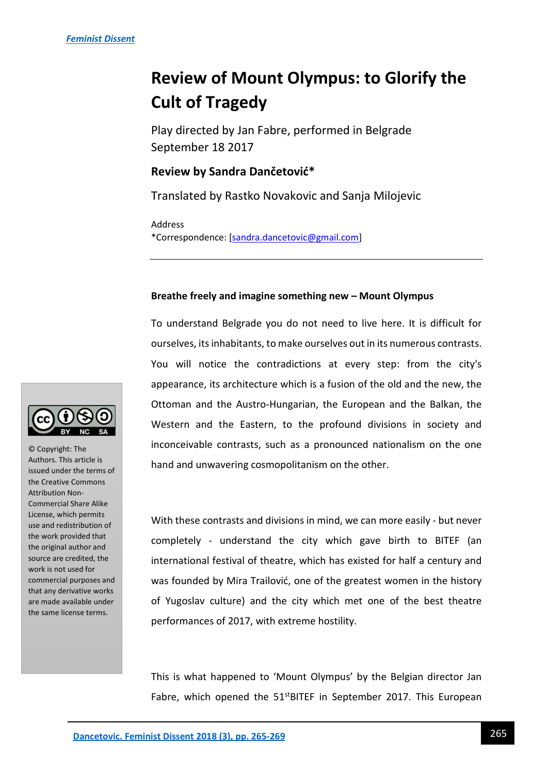# **Review of Mount Olympus: to Glorify the Cult of Tragedy**

Play directed by Jan Fabre, performed in Belgrade September 18 2017

## **Review by Sandra Dančetović\***

Translated by Rastko Novakovic and Sanja Milojevic

Address \*Correspondence: [\[sandra.dancetovic@gmail.com\]](mailto:sandra.dancetovic@gmail.com)

## **Breathe freely and imagine something new – Mount Olympus**

To understand Belgrade you do not need to live here. It is difficult for ourselves, its inhabitants, to make ourselves out in its numerous contrasts. You will notice the contradictions at every step: from the city's appearance, its architecture which is a fusion of the old and the new, the Ottoman and the Austro-Hungarian, the European and the Balkan, the Western and the Eastern, to the profound divisions in society and inconceivable contrasts, such as a pronounced nationalism on the one hand and unwavering cosmopolitanism on the other.

With these contrasts and divisions in mind, we can more easily - but never completely - understand the city which gave birth to BITEF (an international festival of theatre, which has existed for half a century and was founded by Mira Trailović, one of the greatest women in the history of Yugoslav culture) and the city which met one of the best theatre performances of 2017, with extreme hostility.

This is what happened to 'Mount Olympus' by the Belgian director Jan Fabre, which opened the 51<sup>st</sup>BITEF in September 2017. This European



© Copyright: The Authors. This article is issued under the terms of the Creative Commons Attribution Non-Commercial Share Alike License, which permits use and redistribution of the work provided that the original author and source are credited, the work is not used for commercial purposes and that any derivative works are made available under the same license terms.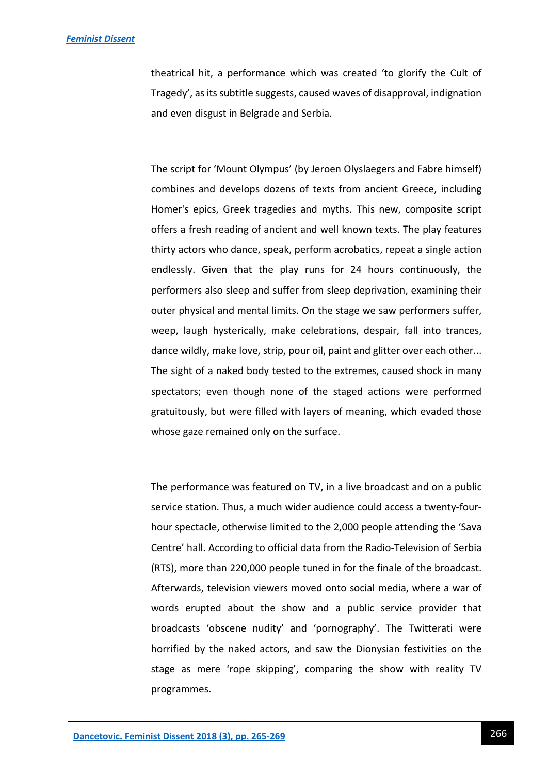### *[Feminist Dissent](https://journals.warwick.ac.uk/index.php/feministdissent/index)*

theatrical hit, a performance which was created 'to glorify the Cult of Tragedy', as its subtitle suggests, caused waves of disapproval, indignation and even disgust in Belgrade and Serbia.

The script for 'Mount Olympus' (by Jeroen Olyslaegers and Fabre himself) combines and develops dozens of texts from ancient Greece, including Homer's epics, Greek tragedies and myths. This new, composite script offers a fresh reading of ancient and well known texts. The play features thirty actors who dance, speak, perform acrobatics, repeat a single action endlessly. Given that the play runs for 24 hours continuously, the performers also sleep and suffer from sleep deprivation, examining their outer physical and mental limits. On the stage we saw performers suffer, weep, laugh hysterically, make celebrations, despair, fall into trances, dance wildly, make love, strip, pour oil, paint and glitter over each other... The sight of a naked body tested to the extremes, caused shock in many spectators; even though none of the staged actions were performed gratuitously, but were filled with layers of meaning, which evaded those whose gaze remained only on the surface.

The performance was featured on TV, in a live broadcast and on a public service station. Thus, a much wider audience could access a twenty-fourhour spectacle, otherwise limited to the 2,000 people attending the 'Sava Centre' hall. According to official data from the Radio-Television of Serbia (RTS), more than 220,000 people tuned in for the finale of the broadcast. Afterwards, television viewers moved onto social media, where a war of words erupted about the show and a public service provider that broadcasts 'obscene nudity' and 'pornography'. The Twitterati were horrified by the naked actors, and saw the Dionysian festivities on the stage as mere 'rope skipping', comparing the show with reality TV programmes.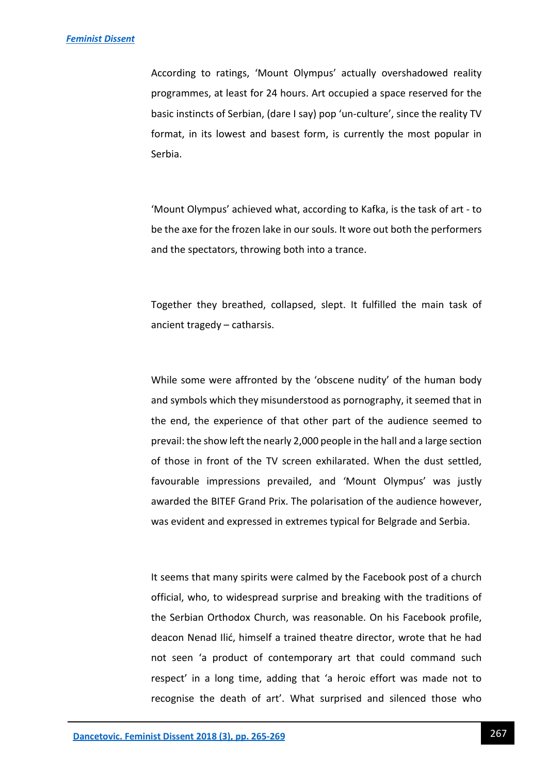According to ratings, 'Mount Olympus' actually overshadowed reality programmes, at least for 24 hours. Art occupied a space reserved for the basic instincts of Serbian, (dare I say) pop 'un-culture', since the reality TV format, in its lowest and basest form, is currently the most popular in Serbia.

'Mount Olympus' achieved what, according to Kafka, is the task of art - to be the axe for the frozen lake in our souls. It wore out both the performers and the spectators, throwing both into a trance.

Together they breathed, collapsed, slept. It fulfilled the main task of ancient tragedy – catharsis.

While some were affronted by the 'obscene nudity' of the human body and symbols which they misunderstood as pornography, it seemed that in the end, the experience of that other part of the audience seemed to prevail: the show left the nearly 2,000 people in the hall and a large section of those in front of the TV screen exhilarated. When the dust settled, favourable impressions prevailed, and 'Mount Olympus' was justly awarded the BITEF Grand Prix. The polarisation of the audience however, was evident and expressed in extremes typical for Belgrade and Serbia.

It seems that many spirits were calmed by the Facebook post of a church official, who, to widespread surprise and breaking with the traditions of the Serbian Orthodox Church, was reasonable. On his Facebook profile, deacon Nenad Ilić, himself a trained theatre director, wrote that he had not seen 'a product of contemporary art that could command such respect' in a long time, adding that 'a heroic effort was made not to recognise the death of art'. What surprised and silenced those who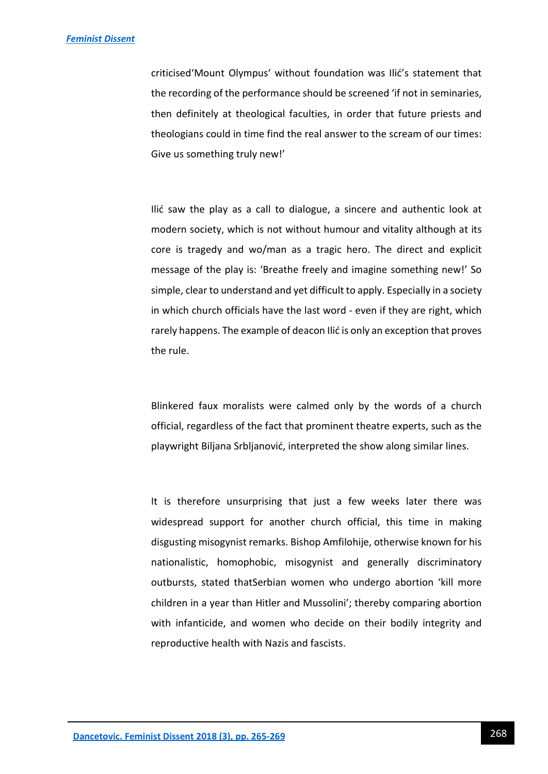criticised'Mount Olympus' without foundation was Ilić's statement that the recording of the performance should be screened 'if not in seminaries, then definitely at theological faculties, in order that future priests and theologians could in time find the real answer to the scream of our times: Give us something truly new!'

Ilić saw the play as a call to dialogue, a sincere and authentic look at modern society, which is not without humour and vitality although at its core is tragedy and wo/man as a tragic hero. The direct and explicit message of the play is: 'Breathe freely and imagine something new!' So simple, clear to understand and yet difficult to apply. Especially in a society in which church officials have the last word - even if they are right, which rarely happens. The example of deacon Ilić is only an exception that proves the rule.

Blinkered faux moralists were calmed only by the words of a church official, regardless of the fact that prominent theatre experts, such as the playwright Biljana Srbljanović, interpreted the show along similar lines.

It is therefore unsurprising that just a few weeks later there was widespread support for another church official, this time in making disgusting misogynist remarks. Bishop Amfilohije, otherwise known for his nationalistic, homophobic, misogynist and generally discriminatory outbursts, stated thatSerbian women who undergo abortion 'kill more children in a year than Hitler and Mussolini'; thereby comparing abortion with infanticide, and women who decide on their bodily integrity and reproductive health with Nazis and fascists.